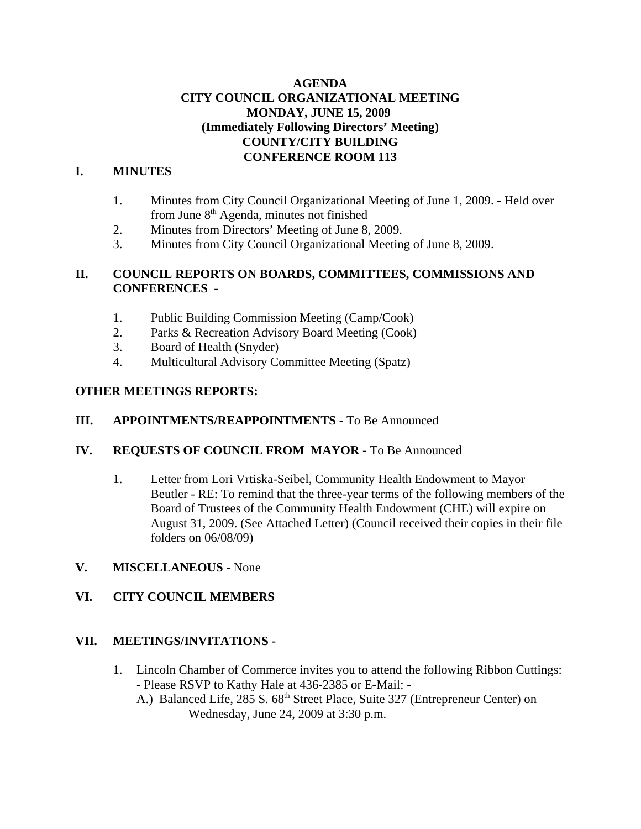## **AGENDA CITY COUNCIL ORGANIZATIONAL MEETING MONDAY, JUNE 15, 2009 (Immediately Following Directors' Meeting) COUNTY/CITY BUILDING CONFERENCE ROOM 113**

## **I. MINUTES**

- 1. Minutes from City Council Organizational Meeting of June 1, 2009. Held over from June  $8<sup>th</sup>$  Agenda, minutes not finished
- 2. Minutes from Directors' Meeting of June 8, 2009.
- 3. Minutes from City Council Organizational Meeting of June 8, 2009.

## **II. COUNCIL REPORTS ON BOARDS, COMMITTEES, COMMISSIONS AND CONFERENCES** -

- 1. Public Building Commission Meeting (Camp/Cook)
- 2. Parks & Recreation Advisory Board Meeting (Cook)
- 3. Board of Health (Snyder)
- 4. Multicultural Advisory Committee Meeting (Spatz)

## **OTHER MEETINGS REPORTS:**

## **III. APPOINTMENTS/REAPPOINTMENTS -** To Be Announced

## **IV. REQUESTS OF COUNCIL FROM MAYOR -** To Be Announced

1. Letter from Lori Vrtiska-Seibel, Community Health Endowment to Mayor Beutler - RE: To remind that the three-year terms of the following members of the Board of Trustees of the Community Health Endowment (CHE) will expire on August 31, 2009. (See Attached Letter) (Council received their copies in their file folders on 06/08/09)

## **V. MISCELLANEOUS -** None

## **VI. CITY COUNCIL MEMBERS**

## **VII. MEETINGS/INVITATIONS -**

- 1. Lincoln Chamber of Commerce invites you to attend the following Ribbon Cuttings: - Please RSVP to Kathy Hale at 436-2385 or E-Mail: -
	- A.) Balanced Life, 285 S. 68<sup>th</sup> Street Place, Suite 327 (Entrepreneur Center) on Wednesday, June 24, 2009 at 3:30 p.m.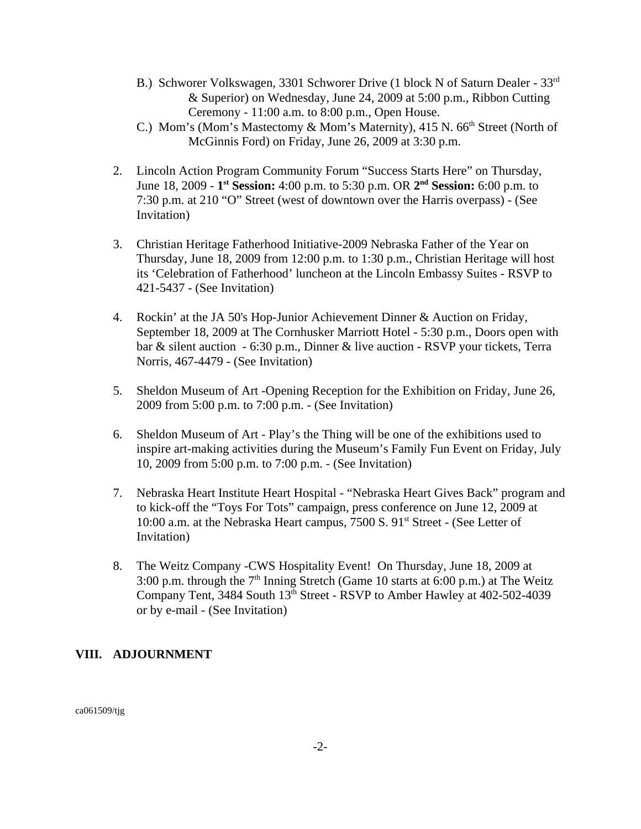- B.) Schworer Volkswagen, 3301 Schworer Drive (1 block N of Saturn Dealer 33rd & Superior) on Wednesday, June 24, 2009 at 5:00 p.m., Ribbon Cutting Ceremony - 11:00 a.m. to 8:00 p.m., Open House.
- C.) Mom's (Mom's Mastectomy  $&$  Mom's Maternity), 415 N. 66<sup>th</sup> Street (North of McGinnis Ford) on Friday, June 26, 2009 at 3:30 p.m.
- 2. Lincoln Action Program Community Forum "Success Starts Here" on Thursday, June 18, 2009 - **1st Session:** 4:00 p.m. to 5:30 p.m. OR **2nd Session:** 6:00 p.m. to 7:30 p.m. at 210 "O" Street (west of downtown over the Harris overpass) - (See Invitation)
- 3. Christian Heritage Fatherhood Initiative-2009 Nebraska Father of the Year on Thursday, June 18, 2009 from 12:00 p.m. to 1:30 p.m., Christian Heritage will host its 'Celebration of Fatherhood' luncheon at the Lincoln Embassy Suites - RSVP to 421-5437 - (See Invitation)
- 4. Rockin' at the JA 50's Hop-Junior Achievement Dinner & Auction on Friday, September 18, 2009 at The Cornhusker Marriott Hotel - 5:30 p.m., Doors open with bar & silent auction - 6:30 p.m., Dinner & live auction - RSVP your tickets, Terra Norris, 467-4479 - (See Invitation)
- 5. Sheldon Museum of Art -Opening Reception for the Exhibition on Friday, June 26, 2009 from 5:00 p.m. to 7:00 p.m. - (See Invitation)
- 6. Sheldon Museum of Art Play's the Thing will be one of the exhibitions used to inspire art-making activities during the Museum's Family Fun Event on Friday, July 10, 2009 from 5:00 p.m. to 7:00 p.m. - (See Invitation)
- 7. Nebraska Heart Institute Heart Hospital "Nebraska Heart Gives Back" program and to kick-off the "Toys For Tots" campaign, press conference on June 12, 2009 at 10:00 a.m. at the Nebraska Heart campus, 7500 S. 91<sup>st</sup> Street - (See Letter of Invitation)
- 8. The Weitz Company -CWS Hospitality Event! On Thursday, June 18, 2009 at 3:00 p.m. through the  $7<sup>th</sup>$  Inning Stretch (Game 10 starts at 6:00 p.m.) at The Weitz Company Tent, 3484 South 13<sup>th</sup> Street - RSVP to Amber Hawley at 402-502-4039 or by e-mail - (See Invitation)

## **VIII. ADJOURNMENT**

ca061509/tjg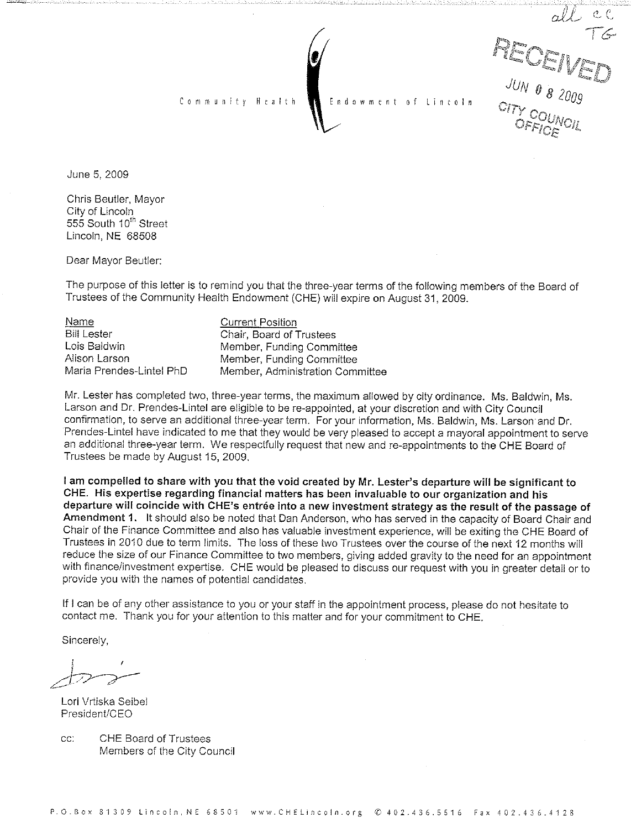all ex<br>
PICOEIVED Lincoln

June 5, 2009

Chris Beutler, Mayor City of Lincoln 555 South 10<sup>th</sup> Street Lincoln, NE 68508

Dear Mayor Beutler:

The purpose of this letter is to remind you that the three-year terms of the following members of the Board of Trustees of the Community Health Endowment (CHE) will expire on August 31, 2009.

Endowment

Name **Bill Lester** Lois Baldwin Alison Larson Maria Prendes-Lintel PhD

**Current Position** Chair, Board of Trustees Member, Funding Committee Member, Funding Committee Member, Administration Committee

Community Health

Mr. Lester has completed two, three-year terms, the maximum allowed by city ordinance. Ms. Baldwin, Ms. Larson and Dr. Prendes-Lintel are eligible to be re-appointed, at your discretion and with City Council confirmation, to serve an additional three-year term. For your information, Ms. Baldwin, Ms. Larson and Dr. Prendes-Lintel have indicated to me that they would be very pleased to accept a mayoral appointment to serve an additional three-year term. We respectfully request that new and re-appointments to the CHE Board of Trustees be made by August 15, 2009.

I am compelled to share with you that the void created by Mr. Lester's departure will be significant to CHE. His expertise regarding financial matters has been invaluable to our organization and his departure will coincide with CHE's entrée into a new investment strategy as the result of the passage of Amendment 1. It should also be noted that Dan Anderson, who has served in the capacity of Board Chair and Chair of the Finance Committee and also has valuable investment experience, will be exiting the CHE Board of Trustees in 2010 due to term limits. The loss of these two Trustees over the course of the next 12 months will reduce the size of our Finance Committee to two members, giving added gravity to the need for an appointment with finance/investment expertise. CHE would be pleased to discuss our request with you in greater detail or to provide you with the names of potential candidates.

If I can be of any other assistance to you or your staff in the appointment process, please do not hesitate to contact me. Thank you for your attention to this matter and for your commitment to CHE.

Sincerely.

Lori Vrtiska Seibel President/CEO

cc: **CHE Board of Trustees** Members of the City Council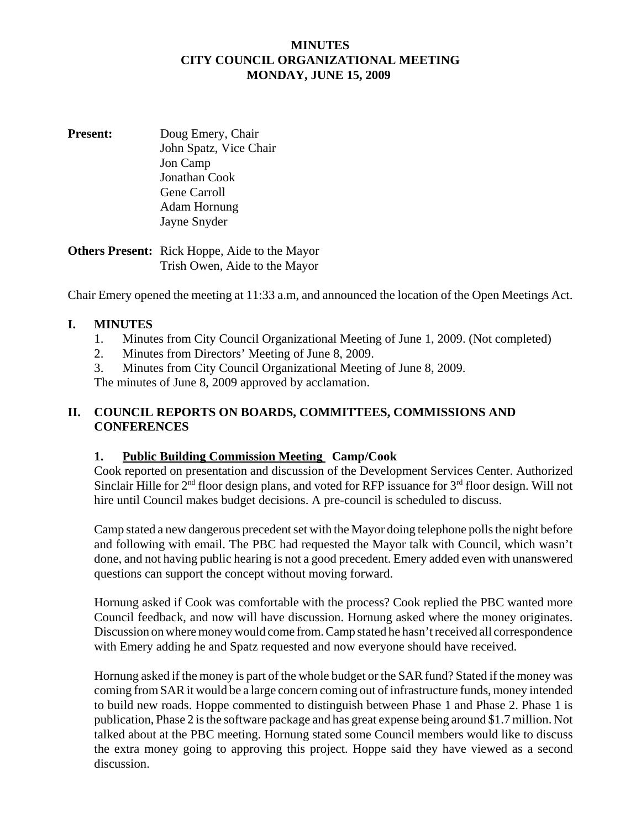## **MINUTES CITY COUNCIL ORGANIZATIONAL MEETING MONDAY, JUNE 15, 2009**

**Present:** Doug Emery, Chair John Spatz, Vice Chair Jon Camp Jonathan Cook Gene Carroll Adam Hornung Jayne Snyder

**Others Present:** Rick Hoppe, Aide to the Mayor Trish Owen, Aide to the Mayor

Chair Emery opened the meeting at 11:33 a.m, and announced the location of the Open Meetings Act.

## **I. MINUTES**

- 1. Minutes from City Council Organizational Meeting of June 1, 2009. (Not completed)
- 2. Minutes from Directors' Meeting of June 8, 2009.
- 3. Minutes from City Council Organizational Meeting of June 8, 2009.

The minutes of June 8, 2009 approved by acclamation.

## **II. COUNCIL REPORTS ON BOARDS, COMMITTEES, COMMISSIONS AND CONFERENCES**

#### **1. Public Building Commission Meeting Camp/Cook**

Cook reported on presentation and discussion of the Development Services Center. Authorized Sinclair Hille for  $2<sup>nd</sup>$  floor design plans, and voted for RFP issuance for  $3<sup>rd</sup>$  floor design. Will not hire until Council makes budget decisions. A pre-council is scheduled to discuss.

Camp stated a new dangerous precedent set with the Mayor doing telephone polls the night before and following with email. The PBC had requested the Mayor talk with Council, which wasn't done, and not having public hearing is not a good precedent. Emery added even with unanswered questions can support the concept without moving forward.

Hornung asked if Cook was comfortable with the process? Cook replied the PBC wanted more Council feedback, and now will have discussion. Hornung asked where the money originates. Discussion on where money would come from. Camp stated he hasn't received all correspondence with Emery adding he and Spatz requested and now everyone should have received.

Hornung asked if the money is part of the whole budget or the SAR fund? Stated if the money was coming from SAR it would be a large concern coming out of infrastructure funds, money intended to build new roads. Hoppe commented to distinguish between Phase 1 and Phase 2. Phase 1 is publication, Phase 2 is the software package and has great expense being around \$1.7 million. Not talked about at the PBC meeting. Hornung stated some Council members would like to discuss the extra money going to approving this project. Hoppe said they have viewed as a second discussion.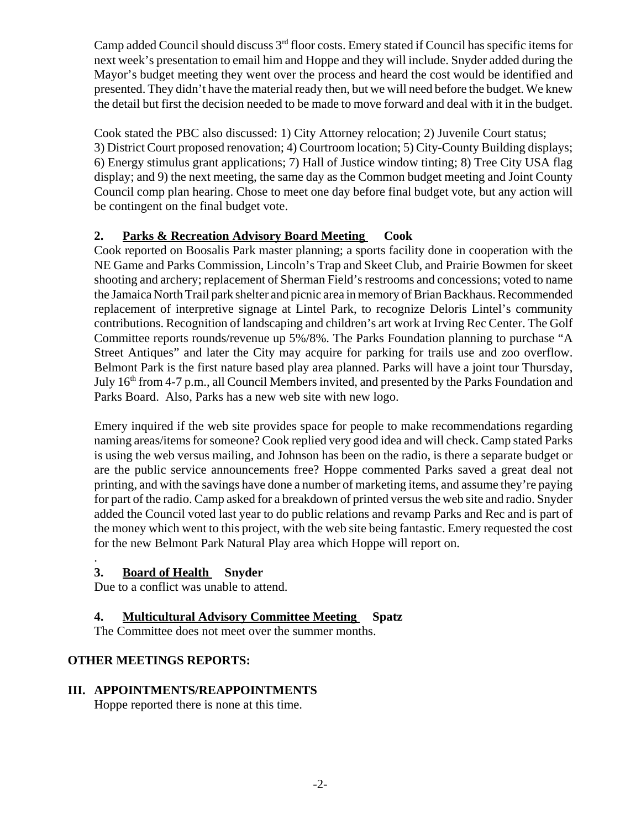Camp added Council should discuss 3rd floor costs. Emery stated if Council has specific items for next week's presentation to email him and Hoppe and they will include. Snyder added during the Mayor's budget meeting they went over the process and heard the cost would be identified and presented. They didn't have the material ready then, but we will need before the budget. We knew the detail but first the decision needed to be made to move forward and deal with it in the budget.

Cook stated the PBC also discussed: 1) City Attorney relocation; 2) Juvenile Court status; 3) District Court proposed renovation; 4) Courtroom location; 5) City-County Building displays; 6) Energy stimulus grant applications; 7) Hall of Justice window tinting; 8) Tree City USA flag display; and 9) the next meeting, the same day as the Common budget meeting and Joint County Council comp plan hearing. Chose to meet one day before final budget vote, but any action will be contingent on the final budget vote.

# **2. Parks & Recreation Advisory Board Meeting Cook**

Cook reported on Boosalis Park master planning; a sports facility done in cooperation with the NE Game and Parks Commission, Lincoln's Trap and Skeet Club, and Prairie Bowmen for skeet shooting and archery; replacement of Sherman Field's restrooms and concessions; voted to name the Jamaica North Trail park shelter and picnic area in memory of Brian Backhaus. Recommended replacement of interpretive signage at Lintel Park, to recognize Deloris Lintel's community contributions. Recognition of landscaping and children's art work at Irving Rec Center. The Golf Committee reports rounds/revenue up 5%/8%. The Parks Foundation planning to purchase "A Street Antiques" and later the City may acquire for parking for trails use and zoo overflow. Belmont Park is the first nature based play area planned. Parks will have a joint tour Thursday, July 16<sup>th</sup> from 4-7 p.m., all Council Members invited, and presented by the Parks Foundation and Parks Board. Also, Parks has a new web site with new logo.

Emery inquired if the web site provides space for people to make recommendations regarding naming areas/items for someone? Cook replied very good idea and will check. Camp stated Parks is using the web versus mailing, and Johnson has been on the radio, is there a separate budget or are the public service announcements free? Hoppe commented Parks saved a great deal not printing, and with the savings have done a number of marketing items, and assume they're paying for part of the radio. Camp asked for a breakdown of printed versus the web site and radio. Snyder added the Council voted last year to do public relations and revamp Parks and Rec and is part of the money which went to this project, with the web site being fantastic. Emery requested the cost for the new Belmont Park Natural Play area which Hoppe will report on.

#### . **3. Board of Health Snyder**

Due to a conflict was unable to attend.

## **4. Multicultural Advisory Committee Meeting Spatz**

The Committee does not meet over the summer months.

## **OTHER MEETINGS REPORTS:**

## **III. APPOINTMENTS/REAPPOINTMENTS**

Hoppe reported there is none at this time.